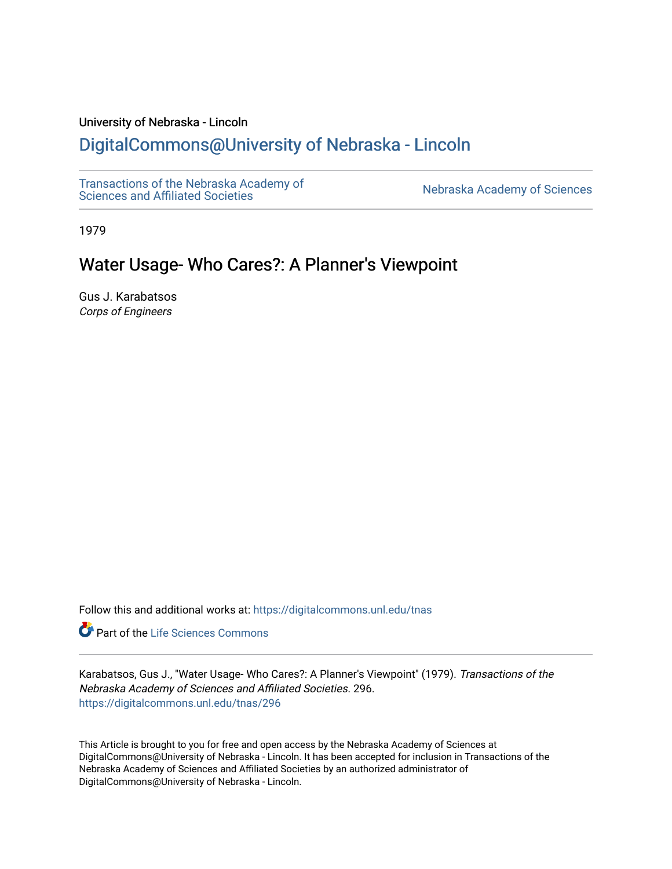### University of Nebraska - Lincoln

# [DigitalCommons@University of Nebraska - Lincoln](https://digitalcommons.unl.edu/)

[Transactions of the Nebraska Academy of](https://digitalcommons.unl.edu/tnas)  Transactions of the Nebraska Academy of Sciences<br>Sciences and Affiliated Societies

1979

# Water Usage- Who Cares?: A Planner's Viewpoint

Gus J. Karabatsos Corps of Engineers

Follow this and additional works at: [https://digitalcommons.unl.edu/tnas](https://digitalcommons.unl.edu/tnas?utm_source=digitalcommons.unl.edu%2Ftnas%2F296&utm_medium=PDF&utm_campaign=PDFCoverPages) 

Part of the [Life Sciences Commons](http://network.bepress.com/hgg/discipline/1016?utm_source=digitalcommons.unl.edu%2Ftnas%2F296&utm_medium=PDF&utm_campaign=PDFCoverPages) 

Karabatsos, Gus J., "Water Usage- Who Cares?: A Planner's Viewpoint" (1979). Transactions of the Nebraska Academy of Sciences and Affiliated Societies. 296. [https://digitalcommons.unl.edu/tnas/296](https://digitalcommons.unl.edu/tnas/296?utm_source=digitalcommons.unl.edu%2Ftnas%2F296&utm_medium=PDF&utm_campaign=PDFCoverPages) 

This Article is brought to you for free and open access by the Nebraska Academy of Sciences at DigitalCommons@University of Nebraska - Lincoln. It has been accepted for inclusion in Transactions of the Nebraska Academy of Sciences and Affiliated Societies by an authorized administrator of DigitalCommons@University of Nebraska - Lincoln.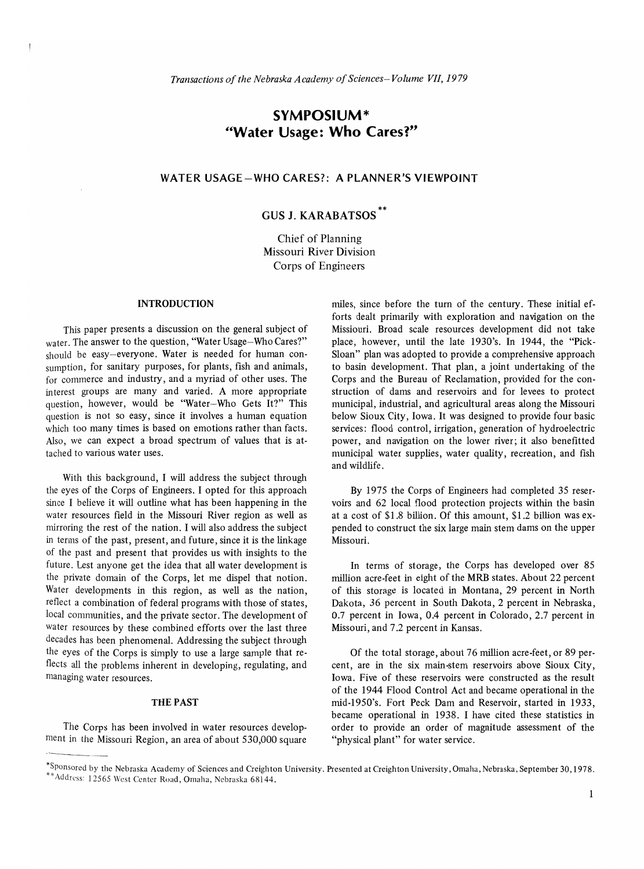## **SYMPOSIUM\* "Water Usage: Who Cares?"**

### WATER USAGE-WHO CARES?: A PLANNER'S **VIEWPOINT**

## GUS J. KARABATSOS\*\*

Chief of Planning Missouri River Division Corps of Engineers

#### INTRODUCTION

This paper presents a discussion on the general subject of water. The answer to the question, "Water Usage-Who Cares?" should be easy-everyone. Water is needed for human consumption, for sanitary purposes, for plants, fish and animals, for commerce and industry, and a myriad of other uses. The interest groups are many and varied. A more appropriate question, however, would be "Water-Who Gets It?" This question is not so easy, since it involves a human equation which too many times is based on emotions rather than facts. Also, we can expect a broad spectrum of values that is attached to various water uses.

With this background, I will address the subject through the eyes of the Corps of Engineers. I opted for this approach since I believe it will outline what has been happening in the water resources field in the Missouri River region as well as mirroring the rest of the nation. I will also address the subject in terms of the past, present, and future, since it is the linkage of the past and present that provides us with insights to the future. Lest anyone get the idea that all water development is the private domain of the Corps, let me dispel that notion. Water developments in this region, as well as the nation, reflect a combination of federal programs with those of states, local communities, and the private sector. The development of water resources by these combined efforts over the last three decades has been phenomenal. Addressing the subject through the eyes of the Corps is simply to use a large sample that reflects all the problems inherent in developing, regulating, and managing water resources.

#### THE PAST

The Corps has been involved in water resources development in the Missouri Region, an area of about 530,000 square miles, since before the turn of the century. These initial efforts dealt primarily with exploration and navigation on the Missiouri. Broad scale resources development did not take place, however, until the late 1930's. In 1944, the "Pick-Sloan" plan was adopted to provide a comprehensive approach to basin development. That plan, a joint undertaking of the Corps and the Bureau of Reclamation, provided for the construction of dams and reservoirs and for levees to protect municipal, industrial, and agricultural areas along the Missouri below Sioux City, Iowa. It was designed to provide four basic services: flood control, irrigation, generation of hydroelectric power, and navigation on the lower river; it also benefitted municipal water supplies, water quality, recreation, and fish and wildlife.

By 1975 the Corps of Engineers had completed 35 reservoirs and 62 local flood protection projects within the basin at a cost of \$1.8 billion. Of this amount, \$1.2 billion was expended to construct the six large main stem dams on the upper Missouri.

In terms of storage, the Corps has developed over 85 million acre-feet in eight of the MRB states. About 22 percent of this storage is located in Montana, 29 percent in North Dakota, 36 percent in South Dakota, 2 percent in Nebraska, 0.7 percent in Iowa, 0.4 percent in Colorado, 2.7 percent in Missouri, and 7.2 percent in Kansas.

The Corps has been involved in water resources develop-<br>
ment in the Missouri Region, an area of about 530,000 square "physical plant" for water service.<br>
\*Sponsored by the Nebraska Academy of Sciences and Creighton Univer Of the total storage, about 76 million acre-feet, or 89 percent, are in the six main-stem reservoirs above Sioux City, Iowa. Five of these reservoirs were constructed as the result of the 1944 Flood Control Act and became operational in the mid-1950's. Fort Peck Dam and Reservoir, started in 1933, became operational in 1938. I have cited these statistics in order to provide an order of magnitude assessment of the "physical plant" for water service.

<sup>\*\*</sup> Address: 12565 West Center Road, Omaha, Nebraska 68144.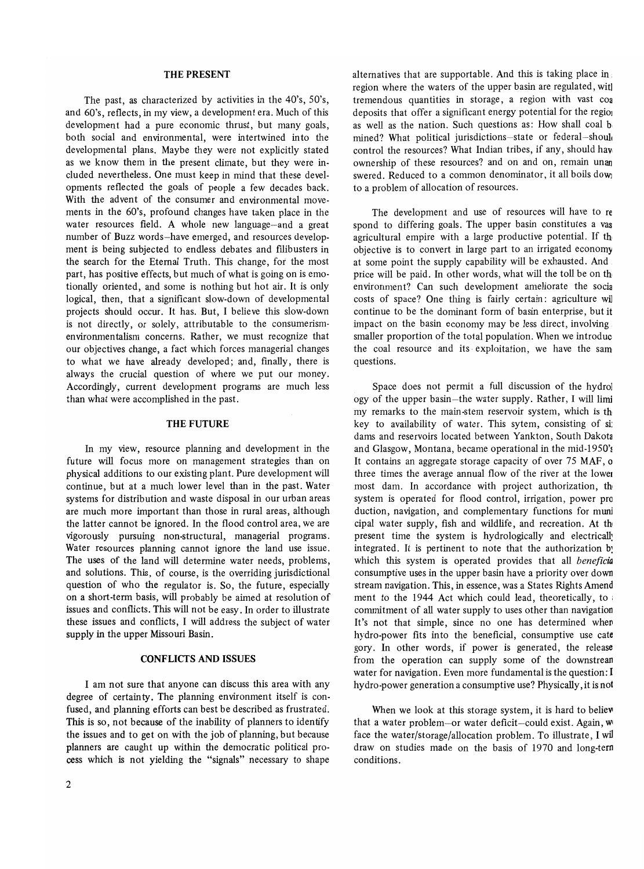#### THE PRESENT

The past, as characterized by activities in the 40's, 50's, and 60's, reflects, in my view, a development era. Much of this development had a pure economic thrust, but many goals, both social and environmental, were intertwined into the developmental plans. Maybe they were not explicitly stated as we know them in the present climate, but they were included nevertheless. One must keep in mind that these developments reflected the goals of people a few decades back. With the advent of the consumer and environmental movements in the 60's, profound changes have taken place in the water resources field. A whole new language-and a great number of Buzz words-have emerged, and resources development is being subjected to endless debates and fIlibusters in the search for the Eternal Truth. This change, for the most part, has positive effects, but much of what is going on is emotionally oriented, and some is nothing but hot air. It is only logical, then, that a significant slow-down of developmental projects should occur. It has. But, I believe this slow-down is not directly, or solely, attributable to the consumerismenvironmentalism concerns. Rather, we must recognize that our objectives change, a fact which forces managerial changes to what we have already developed; and, finally, there is always the crucial question of where we put our money. Accordingly, current development programs are much less than what were accomplished in the past.

#### THE FUTURE

In my view, resource planning and development in the future will focus more on management strategies than on physical additions to our existing plant. Pure development will continue, but at a much lower level than in the past. Water systems for distribution and waste disposal in our urban areas are much more important than those in rural areas, although the latter cannot be ignored. In the flood control area, we are vigorously pursuing non-structural, managerial programs. Water resources planning cannot ignore the land use issue. The uses of the land will determine water needs, problems, and solutions. This, of course, is the overriding jurisdictional question of who the regulator is. So, the future, especially on a short-term basis, will probably be aimed at resolution of issues and conflicts. This will not be easy. In order to illustrate these issues and conflicts, I will address the subject of water supply in the upper Missouri Basin.

#### CONFLICTS AND ISSUES

I am not sure that anyone can discuss this area with any degree of certainty. The planning environment itself is confused, and planning efforts can best be described as frustrated. This is so, not because of the inability of planners to identify the issues and to get on with the job of planning, but because planners are caught up within the democratic political process which is not yielding the "signals" necessary to shape

alternatives that are supportable. And this is taking place in. region where the waters of the upper basin are regulated, wit] tremendous quantities in storage, a region with vast coa deposits that offer a significant energy potential for the region as well as the nation. Such questions as: How shall coal b mined? What political jurisdictions-state or federal-should control the resources? What Indian tribes, if any, should hay, ownership of these resources? and on and on, remain unan swered. Reduced to a common denominator, it all boils dowi to a problem of allocation of resources.

The development and use of resources will have to re spond to differing goals. The upper basin constitutes a vas agricultural empire with a large productive potential. If th objective is to convert in large part to an irrigated economy at some point the supply capability will be exhausted. And price will be paid. In other words, what will the toll be on th environment? Can such development ameliorate the socia costs of space? One thing is fairly certain: agriculture wil continue to be the dominant form of basin enterprise, but it impact on the basin economy may be less direct, involving, smaller proportion of the total population. When we introduc, the coal resource and its exploitation, we have the sam questions.

Space does not permit a full discussion of the hydrol ogy of the upper basin—the water supply. Rather, I will limi my remarks to the main-stem reservoir system, which is th key to availability of water. This sytem, consisting of si: dams and reservoirs located between Yankton, South Dakota and Glasgow, Montana, became operational in the mid-1950's It contains an aggregate storage capacity of over 75 MAF, a three times the average annual flow of the river at the lower most dam. In accordance with project authorization, th system is operated for flood control, irrigation, power pro duction, navigation, and complementary functions for muni cipal water supply, fish and wildlife, and recreation. At th present time the system is hydrologically and electricall: integrated. It is pertinent to note that the authorization b: which this system is operated provides that all *beneficia*  consumptive uses in the upper basin have a priority over down stream navigation. This, in essence, was a States Rights Amend ment to the 1944 Act which could lead, theoretically, to • commitment of all water supply to uses other than navigation It's not that simple, since no one has determined when hydro-power fits into the beneficial, consumptive use cate gory. In other words, if power is generated, the release from the operation can supply some of the downstrean water for navigation. Even more fundamental is the question: I hydro-power generation a consumptive use? Physically, it is not

When we look at this storage system, it is hard to believe that a water problem-or water deficit-could exist. Again,  $w$ face the water/storage/allocation problem. To illustrate, I wil draw on studies made on the basis of 1970 and long-tern conditions.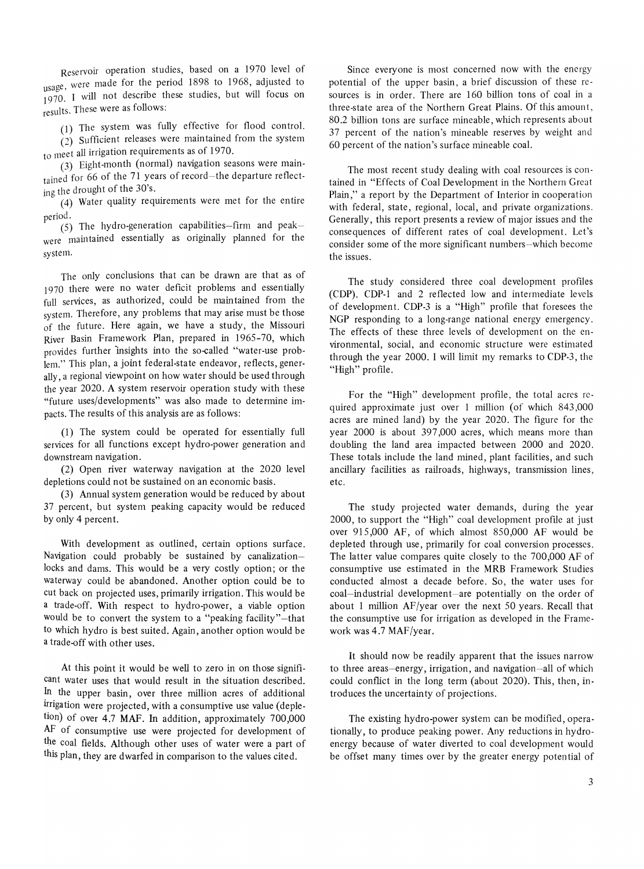Reservoir operation studies, based on a 1970 level of usage, were made for the period 1898 to 1968, adjusted to  $\frac{u_0u_0}{1970}$ . I will not describe these studies, but will focus on results. These were as follows:

(1) The system was fully effective for flood control.

 $\chi^2$ ) Sufficient releases were maintained from the system to meet all irrigation requirements as of 1970.

(3) Eight-month (normal) navigation seasons were maintained for 66 of the 71 years of record-the departure reflecting the drought of the 30's.

(4) Water quality requirements were met for the entire period.

(5) The hydro-generation capabilities-firm and peakwere maintained essentially as originally planned for the system.

The only conclusions that can be drawn are that as of 1970 there were no water deficit problems and essentially full services, as authorized, could be maintained from the system. Therefore, any problems that may arise must be those of the future. Here again, we have a study, the Missouri River Basin Framework Plan, prepared in 1965-70, which provides further insights into the so-called "water-use problem." This plan, a joint federal-state endeavor, reflects, generally, a regional viewpoint on how water should be used through the year 2020. A system reservoir operation study with these "future uses/developments" was also made to determine impacts. The results of this analysis are as follows:

(1) The system could be operated for essentially full services for all functions except hydro-power generation and downstream navigation.

(2) Open river waterway navigation at the 2020 level depletions could not be sustained on an economic basis.

(3) Annual system generation would be reduced by about 37 percent, but system peaking capacity would be reduced by only 4 percent.

With development as outlined, certain options surface. Navigation could probably be sustained by canalizationlocks and dams. This would be a very costly option; or the waterway could be abandoned. Another option could be to cut back on projected uses, primarily irrigation. This would be a trade-off. With respect to hydro-power, a viable option would be to convert the system to a "peaking facility"-that to which hydro is best suited. Again, another option would be a trade-off with other uses.

At this point it would be well to zero in on those significant water uses that would result in the situation described. In the upper basin, over three million acres of additional irrigation were projected, with a consumptive use value (depletion) of over 4.7 MAF. In addition, approximately 700,000 AF of consumptive use were projected for development of the coal fields. Although other uses of water were a part of this plan, they are dwarfed in comparison to the values cited.

Since everyone is most concerned now with the energy potential of the upper basin, a brief discussion of these resources is in order. There are 160 billion tons of coal in a three-state area of the Northern Great Plains. Of this amount, 80.2 billion tons are surface mineable, which represents about 37 percent of the nation's mineable reserves by weight and 60 percent of the nation's surface mineable coal.

The most recent study dealing with coal resources is contained in "Effects of Coal Development in the Northern Great Plain," a report by the Department of Interior in cooperation with federal, state, regional, local, and private organizations. Generally, this report presents a review of major issues and the consequences of different rates of coal development. Let's consider some of the more significant numbers--which become the issues.

The study considered three coal development profiles (CDP). CDP-1 and 2 reflected low and intermediate levels of development. CDP-3 is a "High" profile that foresees the NGP responding to a long-range national energy emergency. The effects of these three levels of development on the environmental, social, and economic structure were estimated through the year 2000. I will limit my remarks to CDP-3, the "High" profile.

For the "High" development profile, the total acres required approximate just over 1 million (of which 843,000 acres are mined land) by the year 2020. The figure for the year 2000 is about 397,000 acres, which means more than doubling the land area impacted between 2000 and 2020. These totals include the land mined, plant facilities, and such ancillary facilities as railroads, highways, transmission lines, etc.

The study projected water demands, during the year 2000, to support the "High" coal development profile at just over 915,000 AF, of which almost 850,000 AF would be depleted through use, primarily for coal conversion processes. The latter value compares quite closely to the 700,000 AF of consumptive use estimated in the MRB Framework Studies conducted almost a decade before. So, the water uses for coal-industrial development-are potentially on the order of about 1 million AF/year over the next 50 years. Recall that the consumptive use for irrigation as developed in the Framework was 4.7 MAF/year.

It should now be readily apparent that the issues narrow to three areas-energy, irrigation, and navigation-all of which could conflict in the long term (about 2020). This, then, introduces the uncertainty of projections.

The existing hydro-power system can be modificd, operationally, to produce peaking power. Any reductions in hydroenergy because of water diverted to coal development would be offset many times over by the greater energy potential of